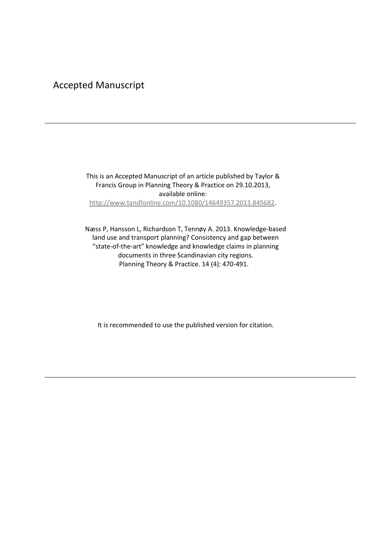## Accepted Manuscript

This is an Accepted Manuscript of an article published by Taylor & Francis Group in Planning Theory & Practice on 29.10.2013, available online: [http://www.tandfonline.com/10.1080/14649357.2013.845682.](http://www.tandfonline.com/10.1080/14649357.2013.845682)

Næss P, Hansson L, Richardson T, Tennøy A. 2013. Knowledge-based land use and transport planning? Consistency and gap between "state-of-the-art" knowledge and knowledge claims in planning documents in three Scandinavian city regions. Planning Theory & Practice. 14 (4): 470-491.

It is recommended to use the published version for citation.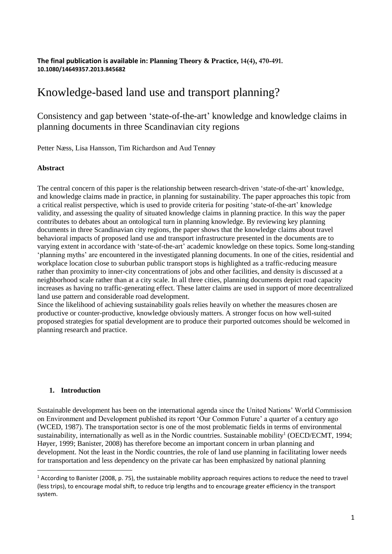## **The final publication is available in: Planning Theory & Practice, 14(4), 470-491. 10.1080/14649357.2013.845682**

# Knowledge-based land use and transport planning?

Consistency and gap between 'state-of-the-art' knowledge and knowledge claims in planning documents in three Scandinavian city regions

Petter Næss, Lisa Hansson, Tim Richardson and Aud Tennøy

## **Abstract**

The central concern of this paper is the relationship between research-driven 'state-of-the-art' knowledge, and knowledge claims made in practice, in planning for sustainability. The paper approaches this topic from a critical realist perspective, which is used to provide criteria for positing 'state-of-the-art' knowledge validity, and assessing the quality of situated knowledge claims in planning practice. In this way the paper contributes to debates about an ontological turn in planning knowledge. By reviewing key planning documents in three Scandinavian city regions, the paper shows that the knowledge claims about travel behavioral impacts of proposed land use and transport infrastructure presented in the documents are to varying extent in accordance with 'state-of-the-art' academic knowledge on these topics. Some long-standing 'planning myths' are encountered in the investigated planning documents. In one of the cities, residential and workplace location close to suburban public transport stops is highlighted as a traffic-reducing measure rather than proximity to inner-city concentrations of jobs and other facilities, and density is discussed at a neighborhood scale rather than at a city scale. In all three cities, planning documents depict road capacity increases as having no traffic-generating effect. These latter claims are used in support of more decentralized land use pattern and considerable road development.

Since the likelihood of achieving sustainability goals relies heavily on whether the measures chosen are productive or counter-productive, knowledge obviously matters. A stronger focus on how well-suited proposed strategies for spatial development are to produce their purported outcomes should be welcomed in planning research and practice.

#### **1. Introduction**

Sustainable development has been on the international agenda since the United Nations' World Commission on Environment and Development published its report 'Our Common Future' a quarter of a century ago (WCED, 1987). The transportation sector is one of the most problematic fields in terms of environmental sustainability, internationally as well as in the Nordic countries. Sustainable mobility<sup>1</sup> (OECD/ECMT, 1994; Høyer, 1999; Banister, 2008) has therefore become an important concern in urban planning and development. Not the least in the Nordic countries, the role of land use planning in facilitating lower needs for transportation and less dependency on the private car has been emphasized by national planning

 $1$  According to Banister (2008, p. 75), the sustainable mobility approach requires actions to reduce the need to travel (less trips), to encourage modal shift, to reduce trip lengths and to encourage greater efficiency in the transport system.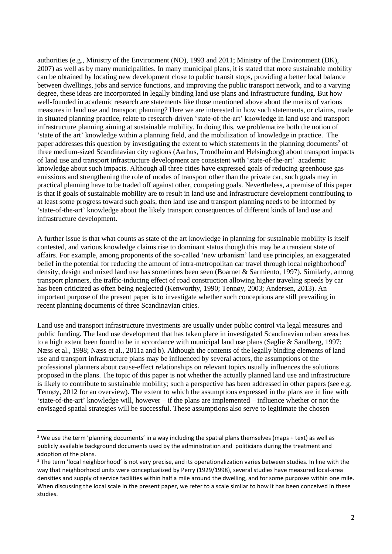authorities (e.g., Ministry of the Environment (NO), 1993 and 2011; Ministry of the Environment (DK), 2007) as well as by many municipalities. In many municipal plans, it is stated that more sustainable mobility can be obtained by locating new development close to public transit stops, providing a better local balance between dwellings, jobs and service functions, and improving the public transport network, and to a varying degree, these ideas are incorporated in legally binding land use plans and infrastructure funding. But how well-founded in academic research are statements like those mentioned above about the merits of various measures in land use and transport planning? Here we are interested in how such statements, or claims, made in situated planning practice, relate to research-driven 'state-of-the-art' knowledge in land use and transport infrastructure planning aiming at sustainable mobility. In doing this, we problematize both the notion of 'state of the art' knowledge within a planning field, and the mobilization of knowledge in practice. The paper addresses this question by investigating the extent to which statements in the planning documents<sup>2</sup> of three medium-sized Scandinavian city regions (Aarhus, Trondheim and Helsingborg) about transport impacts of land use and transport infrastructure development are consistent with 'state-of-the-art' academic knowledge about such impacts. Although all three cities have expressed goals of reducing greenhouse gas emissions and strengthening the role of modes of transport other than the private car, such goals may in practical planning have to be traded off against other, competing goals. Nevertheless, a premise of this paper is that if goals of sustainable mobility are to result in land use and infrastructure development contributing to at least some progress toward such goals, then land use and transport planning needs to be informed by 'state-of-the-art' knowledge about the likely transport consequences of different kinds of land use and infrastructure development.

A further issue is that what counts as state of the art knowledge in planning for sustainable mobility is itself contested, and various knowledge claims rise to dominant status though this may be a transient state of affairs. For example, among proponents of the so-called 'new urbanism' land use principles, an exaggerated belief in the potential for reducing the amount of intra-metropolitan car travel through local neighborhood<sup>3</sup> density, design and mixed land use has sometimes been seen (Boarnet & Sarmiento, 1997). Similarly, among transport planners, the traffic-inducing effect of road construction allowing higher traveling speeds by car has been criticized as often being neglected (Kenworthy, 1990; Tennøy, 2003; Andersen, 2013). An important purpose of the present paper is to investigate whether such conceptions are still prevailing in recent planning documents of three Scandinavian cities.

Land use and transport infrastructure investments are usually under public control via legal measures and public funding. The land use development that has taken place in investigated Scandinavian urban areas has to a high extent been found to be in accordance with municipal land use plans (Saglie & Sandberg, 1997; Næss et al., 1998; Næss et al., 2011a and b). Although the contents of the legally binding elements of land use and transport infrastructure plans may be influenced by several actors, the assumptions of the professional planners about cause-effect relationships on relevant topics usually influences the solutions proposed in the plans. The topic of this paper is not whether the actually planned land use and infrastructure is likely to contribute to sustainable mobility; such a perspective has been addressed in other papers (see e.g. Tennøy, 2012 for an overview). The extent to which the assumptions expressed in the plans are in line with 'state-of-the-art' knowledge will, however – if the plans are implemented – influence whether or not the envisaged spatial strategies will be successful. These assumptions also serve to legitimate the chosen

1

<sup>&</sup>lt;sup>2</sup> We use the term 'planning documents' in a way including the spatial plans themselves (maps + text) as well as publicly available background documents used by the administration and politicians during the treatment and adoption of the plans.

<sup>&</sup>lt;sup>3</sup> The term 'local neighborhood' is not very precise, and its operationalization varies between studies. In line with the way that neighborhood units were conceptualized by Perry (1929/1998), several studies have measured local-area densities and supply of service facilities within half a mile around the dwelling, and for some purposes within one mile. When discussing the local scale in the present paper, we refer to a scale similar to how it has been conceived in these studies.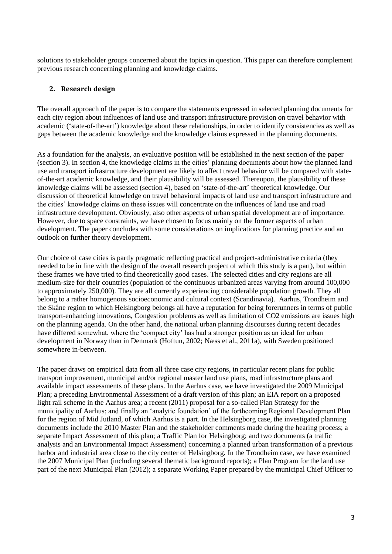solutions to stakeholder groups concerned about the topics in question. This paper can therefore complement previous research concerning planning and knowledge claims.

## **2. Research design**

The overall approach of the paper is to compare the statements expressed in selected planning documents for each city region about influences of land use and transport infrastructure provision on travel behavior with academic ('state-of-the-art') knowledge about these relationships, in order to identify consistencies as well as gaps between the academic knowledge and the knowledge claims expressed in the planning documents.

As a foundation for the analysis, an evaluative position will be established in the next section of the paper (section 3). In section 4, the knowledge claims in the cities' planning documents about how the planned land use and transport infrastructure development are likely to affect travel behavior will be compared with stateof-the-art academic knowledge, and their plausibility will be assessed. Thereupon, the plausibility of these knowledge claims will be assessed (section 4), based on 'state-of-the-art' theoretical knowledge. Our discussion of theoretical knowledge on travel behavioral impacts of land use and transport infrastructure and the cities' knowledge claims on these issues will concentrate on the influences of land use and road infrastructure development. Obviously, also other aspects of urban spatial development are of importance. However, due to space constraints, we have chosen to focus mainly on the former aspects of urban development. The paper concludes with some considerations on implications for planning practice and an outlook on further theory development.

Our choice of case cities is partly pragmatic reflecting practical and project-administrative criteria (they needed to be in line with the design of the overall research project of which this study is a part), but within these frames we have tried to find theoretically good cases. The selected cities and city regions are all medium-size for their countries (population of the continuous urbanized areas varying from around 100,000 to approximately 250,000). They are all currently experiencing considerable population growth. They all belong to a rather homogenous socioeconomic and cultural context (Scandinavia). Aarhus, Trondheim and the Skåne region to which Helsingborg belongs all have a reputation for being forerunners in terms of public transport-enhancing innovations, Congestion problems as well as limitation of CO2 emissions are issues high on the planning agenda. On the other hand, the national urban planning discourses during recent decades have differed somewhat, where the 'compact city' has had a stronger position as an ideal for urban development in Norway than in Denmark (Hoftun, 2002; Næss et al., 2011a), with Sweden positioned somewhere in-between.

The paper draws on empirical data from all three case city regions, in particular recent plans for public transport improvement, municipal and/or regional master land use plans, road infrastructure plans and available impact assessments of these plans. In the Aarhus case, we have investigated the 2009 Municipal Plan; a preceding Environmental Assessment of a draft version of this plan; an EIA report on a proposed light rail scheme in the Aarhus area; a recent (2011) proposal for a so-called Plan Strategy for the municipality of Aarhus; and finally an 'analytic foundation' of the forthcoming Regional Development Plan for the region of Mid Jutland, of which Aarhus is a part. In the Helsingborg case, the investigated planning documents include the 2010 Master Plan and the stakeholder comments made during the hearing process; a separate Impact Assessment of this plan; a Traffic Plan for Helsingborg; and two documents (a traffic analysis and an Environmental Impact Assessment) concerning a planned urban transformation of a previous harbor and industrial area close to the city center of Helsingborg. In the Trondheim case, we have examined the 2007 Municipal Plan (including several thematic background reports); a Plan Program for the land use part of the next Municipal Plan (2012); a separate Working Paper prepared by the municipal Chief Officer to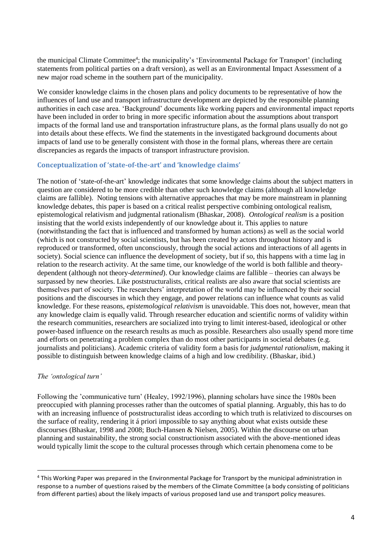the municipal Climate Committee<sup>4</sup>; the municipality's 'Environmental Package for Transport' (including statements from political parties on a draft version), as well as an Environmental Impact Assessment of a new major road scheme in the southern part of the municipality.

We consider knowledge claims in the chosen plans and policy documents to be representative of how the influences of land use and transport infrastructure development are depicted by the responsible planning authorities in each case area. 'Background' documents like working papers and environmental impact reports have been included in order to bring in more specific information about the assumptions about transport impacts of the formal land use and transportation infrastructure plans, as the formal plans usually do not go into details about these effects. We find the statements in the investigated background documents about impacts of land use to be generally consistent with those in the formal plans, whereas there are certain discrepancies as regards the impacts of transport infrastructure provision.

#### **Conceptualization of 'state-of-the-art' and 'knowledge claims'**

The notion of 'state-of-the-art' knowledge indicates that some knowledge claims about the subject matters in question are considered to be more credible than other such knowledge claims (although all knowledge claims are fallible). Noting tensions with alternative approaches that may be more mainstream in planning knowledge debates, this paper is based on a critical realist perspective combining ontological realism, epistemological relativism and judgmental rationalism (Bhaskar, 2008). *Ontological realism* is a position insisting that the world exists independently of our knowledge about it. This applies to nature (notwithstanding the fact that is influenced and transformed by human actions) as well as the social world (which is not constructed by social scientists, but has been created by actors throughout history and is reproduced or transformed, often unconsciously, through the social actions and interactions of all agents in society). Social science can influence the development of society, but if so, this happens with a time lag in relation to the research activity. At the same time, our knowledge of the world is both fallible and theorydependent (although not theory-*determined*). Our knowledge claims are fallible – theories can always be surpassed by new theories. Like poststructuralists, critical realists are also aware that social scientists are themselves part of society. The researchers' interpretation of the world may be influenced by their social positions and the discourses in which they engage, and power relations can influence what counts as valid knowledge. For these reasons, *epistemological relativism* is unavoidable. This does not, however, mean that any knowledge claim is equally valid. Through researcher education and scientific norms of validity within the research communities, researchers are socialized into trying to limit interest-based, ideological or other power-based influence on the research results as much as possible. Researchers also usually spend more time and efforts on penetrating a problem complex than do most other participants in societal debates (e.g. journalists and politicians). Academic criteria of validity form a basis for *judgmental rationalism*, making it possible to distinguish between knowledge claims of a high and low credibility. (Bhaskar, ibid.)

#### *The 'ontological turn'*

1

Following the 'communicative turn' (Healey, 1992/1996), planning scholars have since the 1980s been preoccupied with planning processes rather than the outcomes of spatial planning. Arguably, this has to do with an increasing influence of poststructuralist ideas according to which truth is relativized to discourses on the surface of reality, rendering it á priori impossible to say anything about what exists outside these discourses (Bhaskar, 1998 and 2008; Buch-Hansen & Nielsen, 2005). Within the discourse on urban planning and sustainability, the strong social constructionism associated with the above-mentioned ideas would typically limit the scope to the cultural processes through which certain phenomena come to be

<sup>4</sup> This Working Paper was prepared in the Environmental Package for Transport by the municipal administration in response to a number of questions raised by the members of the Climate Committee (a body consisting of politicians from different parties) about the likely impacts of various proposed land use and transport policy measures.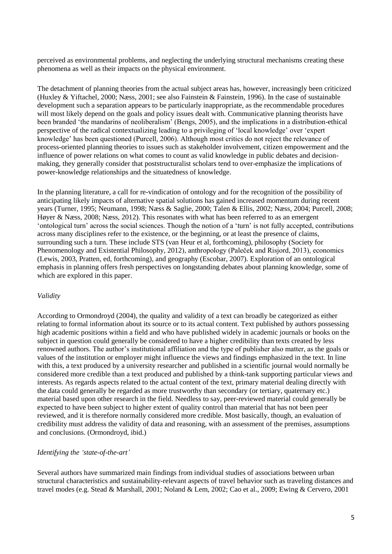perceived as environmental problems, and neglecting the underlying structural mechanisms creating these phenomena as well as their impacts on the physical environment.

The detachment of planning theories from the actual subject areas has, however, increasingly been criticized (Huxley & Yiftachel, 2000; Næss, 2001; see also Fainstein & Fainstein, 1996). In the case of sustainable development such a separation appears to be particularly inappropriate, as the recommendable procedures will most likely depend on the goals and policy issues dealt with. Communicative planning theorists have been branded 'the mandarins of neoliberalism' (Bengs, 2005), and the implications in a distribution-ethical perspective of the radical contextualizing leading to a privileging of 'local knowledge' over 'expert knowledge' has been questioned (Purcell, 2006). Although most critics do not reject the relevance of process-oriented planning theories to issues such as stakeholder involvement, citizen empowerment and the influence of power relations on what comes to count as valid knowledge in public debates and decisionmaking, they generally consider that poststructuralist scholars tend to over-emphasize the implications of power-knowledge relationships and the situatedness of knowledge.

In the planning literature, a call for re-vindication of ontology and for the recognition of the possibility of anticipating likely impacts of alternative spatial solutions has gained increased momentum during recent years (Turner, 1995; Neumann, 1998; Næss & Saglie, 2000; Talen & Ellis, 2002; Næss, 2004; Purcell, 2008; Høyer & Næss, 2008; Næss, 2012). This resonates with what has been referred to as an emergent 'ontological turn' across the social sciences. Though the notion of a 'turn' is not fully accepted, contributions across many disciplines refer to the existence, or the beginning, or at least the presence of claims, surrounding such a turn. These include STS (van Heur et al, forthcoming), philosophy (Society for Phenomenology and Existential Philosophy, 2012), anthropology (Paleček and Risjord, 2013), economics (Lewis, 2003, Pratten, ed, forthcoming), and geography (Escobar, 2007). Exploration of an ontological emphasis in planning offers fresh perspectives on longstanding debates about planning knowledge, some of which are explored in this paper.

## *Validity*

According to Ormondroyd (2004), the quality and validity of a text can broadly be categorized as either relating to formal information about its source or to its actual content. Text published by authors possessing high academic positions within a field and who have published widely in academic journals or books on the subject in question could generally be considered to have a higher credibility than texts created by less renowned authors. The author's institutional affiliation and the type of publisher also matter, as the goals or values of the institution or employer might influence the views and findings emphasized in the text. In line with this, a text produced by a university researcher and published in a scientific journal would normally be considered more credible than a text produced and published by a think-tank supporting particular views and interests. As regards aspects related to the actual content of the text, primary material dealing directly with the data could generally be regarded as more trustworthy than secondary (or tertiary, quaternary etc.) material based upon other research in the field. Needless to say, peer-reviewed material could generally be expected to have been subject to higher extent of quality control than material that has not been peer reviewed, and it is therefore normally considered more credible. Most basically, though, an evaluation of credibility must address the validity of data and reasoning, with an assessment of the premises, assumptions and conclusions. (Ormondroyd, ibid.)

## *Identifying the 'state-of-the-art'*

Several authors have summarized main findings from individual studies of associations between urban structural characteristics and sustainability-relevant aspects of travel behavior such as traveling distances and travel modes (e.g. Stead & Marshall, 2001; Noland & Lem, 2002; Cao et al., 2009; Ewing & Cervero, 2001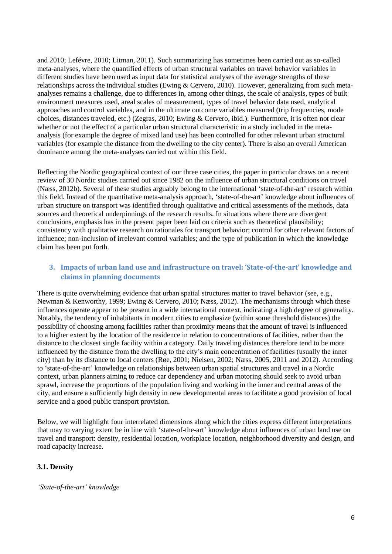and 2010; Lefévre, 2010; Litman, 2011). Such summarizing has sometimes been carried out as so-called meta-analyses, where the quantified effects of urban structural variables on travel behavior variables in different studies have been used as input data for statistical analyses of the average strengths of these relationships across the individual studies (Ewing & Cervero, 2010). However, generalizing from such metaanalyses remains a challenge, due to differences in, among other things, the scale of analysis, types of built environment measures used, areal scales of measurement, types of travel behavior data used, analytical approaches and control variables, and in the ultimate outcome variables measured (trip frequencies, mode choices, distances traveled, etc.) (Zegras, 2010; Ewing & Cervero, ibid.). Furthermore, it is often not clear whether or not the effect of a particular urban structural characteristic in a study included in the metaanalysis (for example the degree of mixed land use) has been controlled for other relevant urban structural variables (for example the distance from the dwelling to the city center). There is also an overall American dominance among the meta-analyses carried out within this field.

Reflecting the Nordic geographical context of our three case cities, the paper in particular draws on a recent review of 30 Nordic studies carried out since 1982 on the influence of urban structural conditions on travel (Næss, 2012b). Several of these studies arguably belong to the international 'state-of-the-art' research within this field. Instead of the quantitative meta-analysis approach, 'state-of-the-art' knowledge about influences of urban structure on transport was identified through qualitative and critical assessments of the methods, data sources and theoretical underpinnings of the research results. In situations where there are divergent conclusions, emphasis has in the present paper been laid on criteria such as theoretical plausibility; consistency with qualitative research on rationales for transport behavior; control for other relevant factors of influence; non-inclusion of irrelevant control variables; and the type of publication in which the knowledge claim has been put forth.

## **3. Impacts of urban land use and infrastructure on travel: 'State-of-the-art' knowledge and claims in planning documents**

There is quite overwhelming evidence that urban spatial structures matter to travel behavior (see, e.g., Newman & Kenworthy, 1999; Ewing & Cervero, 2010; Næss, 2012). The mechanisms through which these influences operate appear to be present in a wide international context, indicating a high degree of generality. Notably, the tendency of inhabitants in modern cities to emphasize (within some threshold distances) the possibility of choosing among facilities rather than proximity means that the amount of travel is influenced to a higher extent by the location of the residence in relation to concentrations of facilities, rather than the distance to the closest single facility within a category. Daily traveling distances therefore tend to be more influenced by the distance from the dwelling to the city's main concentration of facilities (usually the inner city) than by its distance to local centers (Røe, 2001; Nielsen, 2002; Næss, 2005, 2011 and 2012). According to 'state-of-the-art' knowledge on relationships between urban spatial structures and travel in a Nordic context, urban planners aiming to reduce car dependency and urban motoring should seek to avoid urban sprawl, increase the proportions of the population living and working in the inner and central areas of the city, and ensure a sufficiently high density in new developmental areas to facilitate a good provision of local service and a good public transport provision.

Below, we will highlight four interrelated dimensions along which the cities express different interpretations that may to varying extent be in line with 'state-of-the-art' knowledge about influences of urban land use on travel and transport: density, residential location, workplace location, neighborhood diversity and design, and road capacity increase.

## **3.1. Density**

## *'State-of-the-art' knowledge*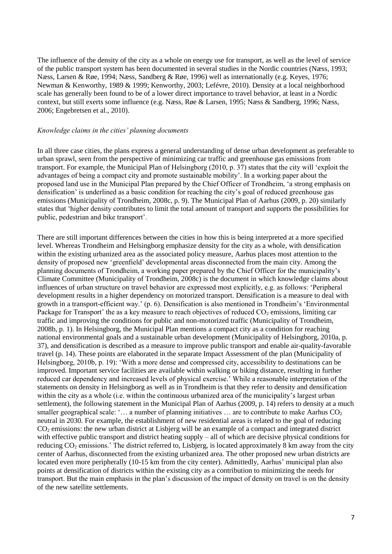The influence of the density of the city as a whole on energy use for transport, as well as the level of service of the public transport system has been documented in several studies in the Nordic countries (Næss, 1993; Næss, Larsen & Røe, 1994; Næss, Sandberg & Røe, 1996) well as internationally (e.g. Keyes, 1976; Newman & Kenworthy, 1989 & 1999; Kenworthy, 2003; Lefévre, 2010). Density at a local neighborhood scale has generally been found to be of a lower direct importance to travel behavior, at least in a Nordic context, but still exerts some influence (e.g. Næss, Røe & Larsen, 1995; Næss & Sandberg, 1996; Næss, 2006; Engebretsen et al., 2010).

#### *Knowledge claims in the cities' planning documents*

In all three case cities, the plans express a general understanding of dense urban development as preferable to urban sprawl, seen from the perspective of minimizing car traffic and greenhouse gas emissions from transport. For example, the Municipal Plan of Helsingborg (2010, p. 37) states that the city will 'exploit the advantages of being a compact city and promote sustainable mobility'. In a working paper about the proposed land use in the Municipal Plan prepared by the Chief Officer of Trondheim, 'a strong emphasis on densification' is underlined as a basic condition for reaching the city's goal of reduced greenhouse gas emissions (Municipality of Trondheim, 2008c, p. 9). The Municipal Plan of Aarhus (2009, p. 20) similarly states that 'higher density contributes to limit the total amount of transport and supports the possibilities for public, pedestrian and bike transport'.

There are still important differences between the cities in how this is being interpreted at a more specified level. Whereas Trondheim and Helsingborg emphasize density for the city as a whole, with densification within the existing urbanized area as the associated policy measure, Aarhus places most attention to the density of proposed new 'greenfield' developmental areas disconnected from the main city. Among the planning documents of Trondheim, a working paper prepared by the Chief Officer for the municipality's Climate Committee (Municipality of Trondheim, 2008c) is the document in which knowledge claims about influences of urban structure on travel behavior are expressed most explicitly, e.g. as follows: 'Peripheral development results in a higher dependency on motorized transport. Densification is a measure to deal with growth in a transport-efficient way.' (p. 6). Densification is also mentioned in Trondheim's 'Environmental Package for Transport' the as a key measure to reach objectives of reduced  $CO<sub>2</sub>$  emissions, limiting car traffic and improving the conditions for public and non-motorized traffic (Municipality of Trondheim, 2008b, p. 1). In Helsingborg, the Municipal Plan mentions a compact city as a condition for reaching national environmental goals and a sustainable urban development (Municipality of Helsingborg, 2010a, p. 37), and densification is described as a measure to improve public transport and enable air-quality-favorable travel (p. 14). These points are elaborated in the separate Impact Assessment of the plan (Municipality of Helsingborg, 2010b, p. 19): 'With a more dense and compressed city, accessibility to destinations can be improved. Important service facilities are available within walking or biking distance, resulting in further reduced car dependency and increased levels of physical exercise.' While a reasonable interpretation of the statements on density in Helsingborg as well as in Trondheim is that they refer to density and densification within the city as a whole (i.e. within the continuous urbanized area of the municipality's largest urban settlement), the following statement in the Municipal Plan of Aarhus (2009, p. 14) refers to density at a much smaller geographical scale: '... a number of planning initiatives ... are to contribute to make Aarhus  $CO<sub>2</sub>$ neutral in 2030. For example, the establishment of new residential areas is related to the goal of reducing CO<sub>2</sub> emissions: the new urban district at Lisbjerg will be an example of a compact and integrated district with effective public transport and district heating supply – all of which are decisive physical conditions for reducing CO<sup>2</sup> emissions.' The district referred to, Lisbjerg, is located approximately 8 km away from the city center of Aarhus, disconnected from the existing urbanized area. The other proposed new urban districts are located even more peripherally (10-15 km from the city center). Admittedly, Aarhus' municipal plan also points at densification of districts within the existing city as a contribution to minimizing the needs for transport. But the main emphasis in the plan's discussion of the impact of density on travel is on the density of the new satellite settlements.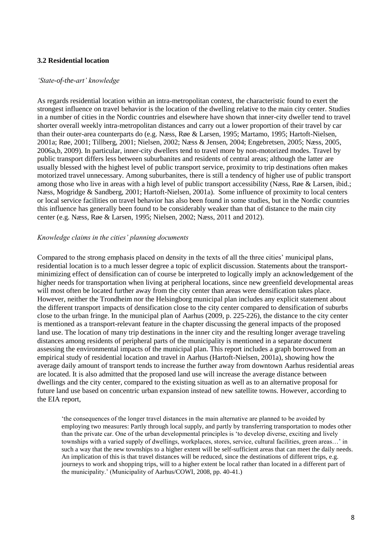## **3.2 Residential location**

#### *'State-of-the-art' knowledge*

As regards residential location within an intra-metropolitan context, the characteristic found to exert the strongest influence on travel behavior is the location of the dwelling relative to the main city center. Studies in a number of cities in the Nordic countries and elsewhere have shown that inner-city dweller tend to travel shorter overall weekly intra-metropolitan distances and carry out a lower proportion of their travel by car than their outer-area counterparts do (e.g. Næss, Røe & Larsen, 1995; Martamo, 1995; Hartoft-Nielsen, 2001a; Røe, 2001; Tillberg, 2001; Nielsen, 2002; Næss & Jensen, 2004; Engebretsen, 2005; Næss, 2005, 2006a,b, 2009). In particular, inner-city dwellers tend to travel more by non-motorized modes. Travel by public transport differs less between suburbanites and residents of central areas; although the latter are usually blessed with the highest level of public transport service, proximity to trip destinations often makes motorized travel unnecessary. Among suburbanites, there is still a tendency of higher use of public transport among those who live in areas with a high level of public transport accessibility (Næss, Røe & Larsen, ibid.; Næss, Mogridge & Sandberg, 2001; Hartoft-Nielsen, 2001a). Some influence of proximity to local centers or local service facilities on travel behavior has also been found in some studies, but in the Nordic countries this influence has generally been found to be considerably weaker than that of distance to the main city center (e.g. Næss, Røe & Larsen, 1995; Nielsen, 2002; Næss, 2011 and 2012).

#### *Knowledge claims in the cities' planning documents*

Compared to the strong emphasis placed on density in the texts of all the three cities' municipal plans, residential location is to a much lesser degree a topic of explicit discussion. Statements about the transportminimizing effect of densification can of course be interpreted to logically imply an acknowledgement of the higher needs for transportation when living at peripheral locations, since new greenfield developmental areas will most often be located further away from the city center than areas were densification takes place. However, neither the Trondheim nor the Helsingborg municipal plan includes any explicit statement about the different transport impacts of densification close to the city center compared to densification of suburbs close to the urban fringe. In the municipal plan of Aarhus (2009, p. 225-226), the distance to the city center is mentioned as a transport-relevant feature in the chapter discussing the general impacts of the proposed land use. The location of many trip destinations in the inner city and the resulting longer average traveling distances among residents of peripheral parts of the municipality is mentioned in a separate document assessing the environmental impacts of the municipal plan. This report includes a graph borrowed from an empirical study of residential location and travel in Aarhus (Hartoft-Nielsen, 2001a), showing how the average daily amount of transport tends to increase the further away from downtown Aarhus residential areas are located. It is also admitted that the proposed land use will increase the average distance between dwellings and the city center, compared to the existing situation as well as to an alternative proposal for future land use based on concentric urban expansion instead of new satellite towns. However, according to the EIA report,

'the consequences of the longer travel distances in the main alternative are planned to be avoided by employing two measures: Partly through local supply, and partly by transferring transportation to modes other than the private car. One of the urban developmental principles is 'to develop diverse, exciting and lively townships with a varied supply of dwellings, workplaces, stores, service, cultural facilities, green areas…' in such a way that the new townships to a higher extent will be self-sufficient areas that can meet the daily needs. An implication of this is that travel distances will be reduced, since the destinations of different trips, e.g. journeys to work and shopping trips, will to a higher extent be local rather than located in a different part of the municipality.' (Municipality of Aarhus/COWI, 2008, pp. 40-41.)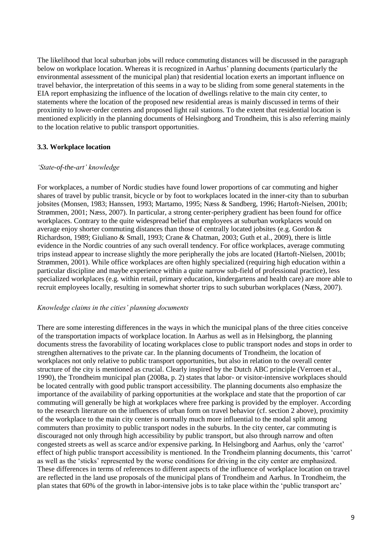The likelihood that local suburban jobs will reduce commuting distances will be discussed in the paragraph below on workplace location. Whereas it is recognized in Aarhus' planning documents (particularly the environmental assessment of the municipal plan) that residential location exerts an important influence on travel behavior, the interpretation of this seems in a way to be sliding from some general statements in the EIA report emphasizing the influence of the location of dwellings relative to the main city center, to statements where the location of the proposed new residential areas is mainly discussed in terms of their proximity to lower-order centers and proposed light rail stations. To the extent that residential location is mentioned explicitly in the planning documents of Helsingborg and Trondheim, this is also referring mainly to the location relative to public transport opportunities.

#### **3.3. Workplace location**

#### *'State-of-the-art' knowledge*

For workplaces, a number of Nordic studies have found lower proportions of car commuting and higher shares of travel by public transit, bicycle or by foot to workplaces located in the inner-city than to suburban jobsites (Monsen, 1983; Hanssen, 1993; Martamo, 1995; Næss & Sandberg, 1996; Hartoft-Nielsen, 2001b; Strømmen, 2001; Næss, 2007). In particular, a strong center-periphery gradient has been found for office workplaces. Contrary to the quite widespread belief that employees at suburban workplaces would on average enjoy shorter commuting distances than those of centrally located jobsites (e.g. Gordon & Richardson, 1989; Giuliano & Small, 1993; Crane & Chatman, 2003; Guth et al., 2009), there is little evidence in the Nordic countries of any such overall tendency. For office workplaces, average commuting trips instead appear to increase slightly the more peripherally the jobs are located (Hartoft-Nielsen, 2001b; Strømmen, 2001). While office workplaces are often highly specialized (requiring high education within a particular discipline and maybe experience within a quite narrow sub-field of professional practice), less specialized workplaces (e.g. within retail, primary education, kindergartens and health care) are more able to recruit employees locally, resulting in somewhat shorter trips to such suburban workplaces (Næss, 2007).

#### *Knowledge claims in the cities' planning documents*

There are some interesting differences in the ways in which the municipal plans of the three cities conceive of the transportation impacts of workplace location. In Aarhus as well as in Helsingborg, the planning documents stress the favorability of locating workplaces close to public transport nodes and stops in order to strengthen alternatives to the private car. In the planning documents of Trondheim, the location of workplaces not only relative to public transport opportunities, but also in relation to the overall center structure of the city is mentioned as crucial. Clearly inspired by the Dutch ABC principle (Verroen et al., 1990), the Trondheim municipal plan (2008a, p. 2) states that labor- or visitor-intensive workplaces should be located centrally with good public transport accessibility. The planning documents also emphasize the importance of the availability of parking opportunities at the workplace and state that the proportion of car commuting will generally be high at workplaces where free parking is provided by the employer. According to the research literature on the influences of urban form on travel behavior (cf. section 2 above), proximity of the workplace to the main city center is normally much more influential to the modal split among commuters than proximity to public transport nodes in the suburbs. In the city center, car commuting is discouraged not only through high accessibility by public transport, but also through narrow and often congested streets as well as scarce and/or expensive parking. In Helsingborg and Aarhus, only the 'carrot' effect of high public transport accessibility is mentioned. In the Trondheim planning documents, this 'carrot' as well as the 'sticks' represented by the worse conditions for driving in the city center are emphasized. These differences in terms of references to different aspects of the influence of workplace location on travel are reflected in the land use proposals of the municipal plans of Trondheim and Aarhus. In Trondheim, the plan states that 60% of the growth in labor-intensive jobs is to take place within the 'public transport arc'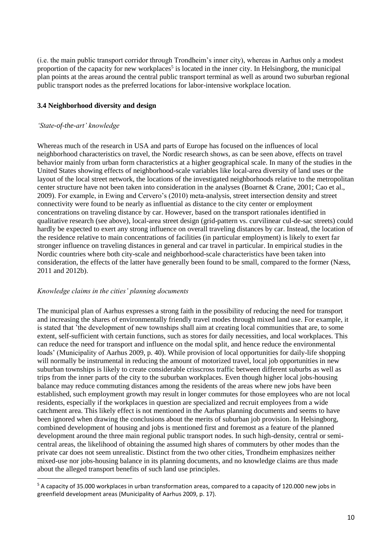(i.e. the main public transport corridor through Trondheim's inner city), whereas in Aarhus only a modest proportion of the capacity for new workplaces<sup>5</sup> is located in the inner city. In Helsingborg, the municipal plan points at the areas around the central public transport terminal as well as around two suburban regional public transport nodes as the preferred locations for labor-intensive workplace location.

## **3.4 Neighborhood diversity and design**

## *'State-of-the-art' knowledge*

**.** 

Whereas much of the research in USA and parts of Europe has focused on the influences of local neighborhood characteristics on travel, the Nordic research shows, as can be seen above, effects on travel behavior mainly from urban form characteristics at a higher geographical scale. In many of the studies in the United States showing effects of neighborhood-scale variables like local-area diversity of land uses or the layout of the local street network, the locations of the investigated neighborhoods relative to the metropolitan center structure have not been taken into consideration in the analyses (Boarnet & Crane, 2001; Cao et al., 2009). For example, in Ewing and Cervero's (2010) meta-analysis, street intersection density and street connectivity were found to be nearly as influential as distance to the city center or employment concentrations on traveling distance by car. However, based on the transport rationales identified in qualitative research (see above), local-area street design (grid-pattern vs. curvilinear cul-de-sac streets) could hardly be expected to exert any strong influence on overall traveling distances by car. Instead, the location of the residence relative to main concentrations of facilities (in particular employment) is likely to exert far stronger influence on traveling distances in general and car travel in particular. In empirical studies in the Nordic countries where both city-scale and neighborhood-scale characteristics have been taken into consideration, the effects of the latter have generally been found to be small, compared to the former (Næss, 2011 and 2012b).

## *Knowledge claims in the cities' planning documents*

The municipal plan of Aarhus expresses a strong faith in the possibility of reducing the need for transport and increasing the shares of environmentally friendly travel modes through mixed land use. For example, it is stated that 'the development of new townships shall aim at creating local communities that are, to some extent, self-sufficient with certain functions, such as stores for daily necessities, and local workplaces. This can reduce the need for transport and influence on the modal split, and hence reduce the environmental loads' (Municipality of Aarhus 2009, p. 40). While provision of local opportunities for daily-life shopping will normally be instrumental in reducing the amount of motorized travel, local job opportunities in new suburban townships is likely to create considerable crisscross traffic between different suburbs as well as trips from the inner parts of the city to the suburban workplaces. Even though higher local jobs-housing balance may reduce commuting distances among the residents of the areas where new jobs have been established, such employment growth may result in longer commutes for those employees who are not local residents, especially if the workplaces in question are specialized and recruit employees from a wide catchment area. This likely effect is not mentioned in the Aarhus planning documents and seems to have been ignored when drawing the conclusions about the merits of suburban job provision. In Helsingborg, combined development of housing and jobs is mentioned first and foremost as a feature of the planned development around the three main regional public transport nodes. In such high-density, central or semicentral areas, the likelihood of obtaining the assumed high shares of commuters by other modes than the private car does not seem unrealistic. Distinct from the two other cities, Trondheim emphasizes neither mixed-use nor jobs-housing balance in its planning documents, and no knowledge claims are thus made about the alleged transport benefits of such land use principles.

<sup>5</sup> A capacity of 35.000 workplaces in urban transformation areas, compared to a capacity of 120.000 new jobs in greenfield development areas (Municipality of Aarhus 2009, p. 17).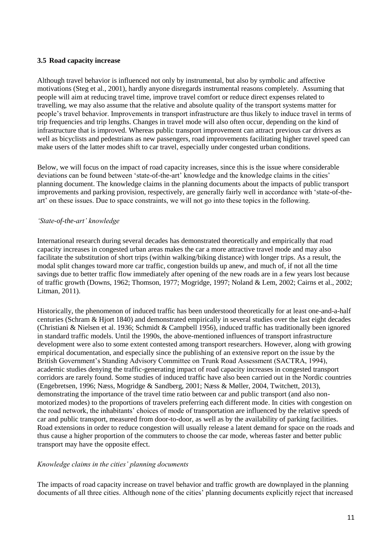## **3.5 Road capacity increase**

Although travel behavior is influenced not only by instrumental, but also by symbolic and affective motivations (Steg et al., 2001), hardly anyone disregards instrumental reasons completely. Assuming that people will aim at reducing travel time, improve travel comfort or reduce direct expenses related to travelling, we may also assume that the relative and absolute quality of the transport systems matter for people's travel behavior. Improvements in transport infrastructure are thus likely to induce travel in terms of trip frequencies and trip lengths. Changes in travel mode will also often occur, depending on the kind of infrastructure that is improved. Whereas public transport improvement can attract previous car drivers as well as bicyclists and pedestrians as new passengers, road improvements facilitating higher travel speed can make users of the latter modes shift to car travel, especially under congested urban conditions.

Below, we will focus on the impact of road capacity increases, since this is the issue where considerable deviations can be found between 'state-of-the-art' knowledge and the knowledge claims in the cities' planning document. The knowledge claims in the planning documents about the impacts of public transport improvements and parking provision, respectively, are generally fairly well in accordance with 'state-of-theart' on these issues. Due to space constraints, we will not go into these topics in the following.

#### *'State-of-the-art' knowledge*

International research during several decades has demonstrated theoretically and empirically that road capacity increases in congested urban areas makes the car a more attractive travel mode and may also facilitate the substitution of short trips (within walking/biking distance) with longer trips. As a result, the modal split changes toward more car traffic, congestion builds up anew, and much of, if not all the time savings due to better traffic flow immediately after opening of the new roads are in a few years lost because of traffic growth (Downs, 1962; Thomson, 1977; Mogridge, 1997; Noland & Lem, 2002; Cairns et al., 2002; Litman, 2011).

Historically, the phenomenon of induced traffic has been understood theoretically for at least one-and-a-half centuries (Schram & Hjort 1840) and demonstrated empirically in several studies over the last eight decades (Christiani & Nielsen et al. 1936; Schmidt & Campbell 1956), induced traffic has traditionally been ignored in standard traffic models. Until the 1990s, the above-mentioned influences of transport infrastructure development were also to some extent contested among transport researchers. However, along with growing empirical documentation, and especially since the publishing of an extensive report on the issue by the British Government's Standing Advisory Committee on Trunk Road Assessment (SACTRA, 1994), academic studies denying the traffic-generating impact of road capacity increases in congested transport corridors are rarely found. Some studies of induced traffic have also been carried out in the Nordic countries (Engebretsen, 1996; Næss, Mogridge & Sandberg, 2001; Næss & Møller, 2004, Twitchett, 2013), demonstrating the importance of the travel time ratio between car and public transport (and also nonmotorized modes) to the proportions of travelers preferring each different mode. In cities with congestion on the road network, the inhabitants' choices of mode of transportation are influenced by the relative speeds of car and public transport, measured from door-to-door, as well as by the availability of parking facilities. Road extensions in order to reduce congestion will usually release a latent demand for space on the roads and thus cause a higher proportion of the commuters to choose the car mode, whereas faster and better public transport may have the opposite effect.

## *Knowledge claims in the cities' planning documents*

The impacts of road capacity increase on travel behavior and traffic growth are downplayed in the planning documents of all three cities. Although none of the cities' planning documents explicitly reject that increased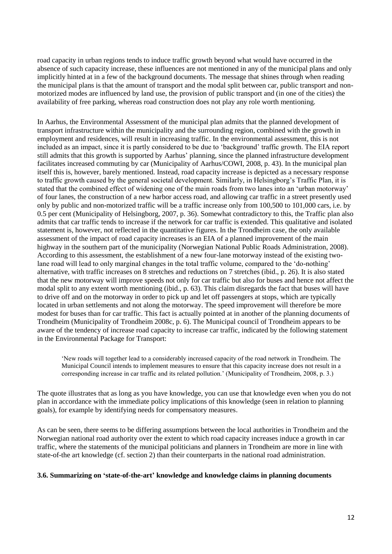road capacity in urban regions tends to induce traffic growth beyond what would have occurred in the absence of such capacity increase, these influences are not mentioned in any of the municipal plans and only implicitly hinted at in a few of the background documents. The message that shines through when reading the municipal plans is that the amount of transport and the modal split between car, public transport and nonmotorized modes are influenced by land use, the provision of public transport and (in one of the cities) the availability of free parking, whereas road construction does not play any role worth mentioning.

In Aarhus, the Environmental Assessment of the municipal plan admits that the planned development of transport infrastructure within the municipality and the surrounding region, combined with the growth in employment and residences, will result in increasing traffic. In the environmental assessment, this is not included as an impact, since it is partly considered to be due to 'background' traffic growth. The EIA report still admits that this growth is supported by Aarhus' planning, since the planned infrastructure development facilitates increased commuting by car (Municipality of Aarhus/COWI, 2008, p. 43). In the municipal plan itself this is, however, barely mentioned. Instead, road capacity increase is depicted as a necessary response to traffic growth caused by the general societal development. Similarly, in Helsingborg's Traffic Plan, it is stated that the combined effect of widening one of the main roads from two lanes into an 'urban motorway' of four lanes, the construction of a new harbor access road, and allowing car traffic in a street presently used only by public and non-motorized traffic will be a traffic increase only from 100,500 to 101,000 cars, i.e. by 0.5 per cent (Municipality of Helsingborg, 2007, p. 36). Somewhat contradictory to this, the Traffic plan also admits that car traffic tends to increase if the network for car traffic is extended. This qualitative and isolated statement is, however, not reflected in the quantitative figures. In the Trondheim case, the only available assessment of the impact of road capacity increases is an EIA of a planned improvement of the main highway in the southern part of the municipality (Norwegian National Public Roads Administration, 2008). According to this assessment, the establishment of a new four-lane motorway instead of the existing twolane road will lead to only marginal changes in the total traffic volume, compared to the 'do-nothing' alternative, with traffic increases on 8 stretches and reductions on 7 stretches (ibid., p. 26). It is also stated that the new motorway will improve speeds not only for car traffic but also for buses and hence not affect the modal split to any extent worth mentioning (ibid., p. 63). This claim disregards the fact that buses will have to drive off and on the motorway in order to pick up and let off passengers at stops, which are typically located in urban settlements and not along the motorway. The speed improvement will therefore be more modest for buses than for car traffic. This fact is actually pointed at in another of the planning documents of Trondheim (Municipality of Trondheim 2008c, p. 6). The Municipal council of Trondheim appears to be aware of the tendency of increase road capacity to increase car traffic, indicated by the following statement in the Environmental Package for Transport:

'New roads will together lead to a considerably increased capacity of the road network in Trondheim. The Municipal Council intends to implement measures to ensure that this capacity increase does not result in a corresponding increase in car traffic and its related pollution.' (Municipality of Trondheim, 2008, p. 3.)

The quote illustrates that as long as you have knowledge, you can use that knowledge even when you do not plan in accordance with the immediate policy implications of this knowledge (seen in relation to planning goals), for example by identifying needs for compensatory measures.

As can be seen, there seems to be differing assumptions between the local authorities in Trondheim and the Norwegian national road authority over the extent to which road capacity increases induce a growth in car traffic, where the statements of the municipal politicians and planners in Trondheim are more in line with state-of-the art knowledge (cf. section 2) than their counterparts in the national road administration.

## **3.6. Summarizing on 'state-of-the-art' knowledge and knowledge claims in planning documents**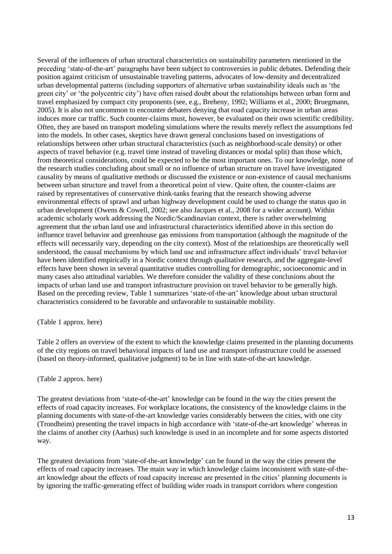Several of the influences of urban structural characteristics on sustainability parameters mentioned in the preceding 'state-of-the-art' paragraphs have been subject to controversies in public debates. Defending their position against criticism of unsustainable traveling patterns, advocates of low-density and decentralized urban developmental patterns (including supporters of alternative urban sustainability ideals such as 'the green city' or 'the polycentric city') have often raised doubt about the relationships between urban form and travel emphasized by compact city proponents (see, e.g., Breheny, 1992; Williams et al., 2000; Bruegmann, 2005). It is also not uncommon to encounter debaters denying that road capacity increase in urban areas induces more car traffic. Such counter-claims must, however, be evaluated on their own scientific credibility. Often, they are based on transport modeling simulations where the results merely reflect the assumptions fed into the models. In other cases, skeptics have drawn general conclusions based on investigations of relationships between other urban structural characteristics (such as neighborhood-scale density) or other aspects of travel behavior (e.g. travel time instead of traveling distances or modal split) than those which, from theoretical considerations, could be expected to be the most important ones. To our knowledge, none of the research studies concluding about small or no influence of urban structure on travel have investigated causality by means of qualitative methods or discussed the existence or non-existence of causal mechanisms between urban structure and travel from a theoretical point of view. Quite often, the counter-claims are raised by representatives of conservative think-tanks fearing that the research showing adverse environmental effects of sprawl and urban highway development could be used to change the status quo in urban development (Owens & Cowell, 2002; see also Jacques et al., 2008 for a wider account). Within academic scholarly work addressing the Nordic/Scandinavian context, there is rather overwhelming agreement that the urban land use and infrastructural characteristics identified above in this section do influence travel behavior and greenhouse gas emissions from transportation (although the magnitude of the effects will necessarily vary, depending on the city context). Most of the relationships are theoretically well understood, the causal mechanisms by which land use and infrastructure affect individuals' travel behavior have been identified empirically in a Nordic context through qualitative research, and the aggregate-level effects have been shown in several quantitative studies controlling for demographic, socioeconomic and in many cases also attitudinal variables. We therefore consider the validity of these conclusions about the impacts of urban land use and transport infrastructure provision on travel behavior to be generally high. Based on the preceding review, Table 1 summarizes 'state-of-the-art' knowledge about urban structural characteristics considered to be favorable and unfavorable to sustainable mobility.

(Table 1 approx. here)

Table 2 offers an overview of the extent to which the knowledge claims presented in the planning documents of the city regions on travel behavioral impacts of land use and transport infrastructure could be assessed (based on theory-informed, qualitative judgment) to be in line with state-of-the-art knowledge.

## (Table 2 approx. here)

The greatest deviations from 'state-of-the-art' knowledge can be found in the way the cities present the effects of road capacity increases. For workplace locations, the consistency of the knowledge claims in the planning documents with state-of-the-art knowledge varies considerably between the cities, with one city (Trondheim) presenting the travel impacts in high accordance with 'state-of-the-art knowledge' whereas in the claims of another city (Aarhus) such knowledge is used in an incomplete and for some aspects distorted way.

The greatest deviations from 'state-of-the-art knowledge' can be found in the way the cities present the effects of road capacity increases. The main way in which knowledge claims inconsistent with state-of-theart knowledge about the effects of road capacity increase are presented in the cities' planning documents is by ignoring the traffic-generating effect of building wider roads in transport corridors where congestion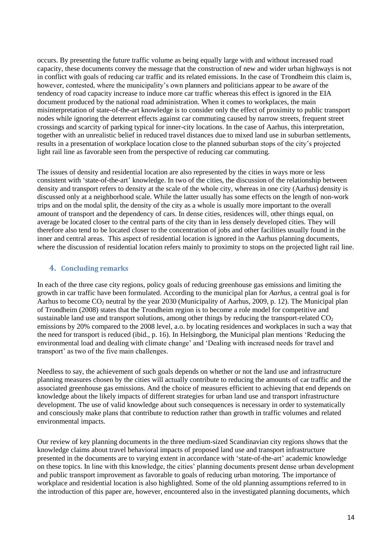occurs. By presenting the future traffic volume as being equally large with and without increased road capacity, these documents convey the message that the construction of new and wider urban highways is not in conflict with goals of reducing car traffic and its related emissions. In the case of Trondheim this claim is, however, contested, where the municipality's own planners and politicians appear to be aware of the tendency of road capacity increase to induce more car traffic whereas this effect is ignored in the EIA document produced by the national road administration. When it comes to workplaces, the main misinterpretation of state-of-the-art knowledge is to consider only the effect of proximity to public transport nodes while ignoring the deterrent effects against car commuting caused by narrow streets, frequent street crossings and scarcity of parking typical for inner-city locations. In the case of Aarhus, this interpretation, together with an unrealistic belief in reduced travel distances due to mixed land use in suburban settlements, results in a presentation of workplace location close to the planned suburban stops of the city's projected light rail line as favorable seen from the perspective of reducing car commuting.

The issues of density and residential location are also represented by the cities in ways more or less consistent with 'state-of-the-art' knowledge. In two of the cities, the discussion of the relationship between density and transport refers to density at the scale of the whole city, whereas in one city (Aarhus) density is discussed only at a neighborhood scale. While the latter usually has some effects on the length of non-work trips and on the modal split, the density of the city as a whole is usually more important to the overall amount of transport and the dependency of cars. In dense cities, residences will, other things equal, on average be located closer to the central parts of the city than in less densely developed cities. They will therefore also tend to be located closer to the concentration of jobs and other facilities usually found in the inner and central areas. This aspect of residential location is ignored in the Aarhus planning documents, where the discussion of residential location refers mainly to proximity to stops on the projected light rail line.

## **4. Concluding remarks**

In each of the three case city regions, policy goals of reducing greenhouse gas emissions and limiting the growth in car traffic have been formulated. According to the municipal plan for *Aarhus*, a central goal is for Aarhus to become CO<sub>2</sub> neutral by the year 2030 (Municipality of Aarhus, 2009, p. 12). The Municipal plan of Trondheim (2008) states that the Trondheim region is to become a role model for competitive and sustainable land use and transport solutions, among other things by reducing the transport-related  $CO<sub>2</sub>$ emissions by 20% compared to the 2008 level, a.o. by locating residences and workplaces in such a way that the need for transport is reduced (ibid., p. 16). In Helsingborg, the Municipal plan mentions 'Reducing the environmental load and dealing with climate change' and 'Dealing with increased needs for travel and transport' as two of the five main challenges.

Needless to say, the achievement of such goals depends on whether or not the land use and infrastructure planning measures chosen by the cities will actually contribute to reducing the amounts of car traffic and the associated greenhouse gas emissions. And the choice of measures efficient to achieving that end depends on knowledge about the likely impacts of different strategies for urban land use and transport infrastructure development. The use of valid knowledge about such consequences is necessary in order to systematically and consciously make plans that contribute to reduction rather than growth in traffic volumes and related environmental impacts.

Our review of key planning documents in the three medium-sized Scandinavian city regions shows that the knowledge claims about travel behavioral impacts of proposed land use and transport infrastructure presented in the documents are to varying extent in accordance with 'state-of-the-art' academic knowledge on these topics. In line with this knowledge, the cities' planning documents present dense urban development and public transport improvement as favorable to goals of reducing urban motoring. The importance of workplace and residential location is also highlighted. Some of the old planning assumptions referred to in the introduction of this paper are, however, encountered also in the investigated planning documents, which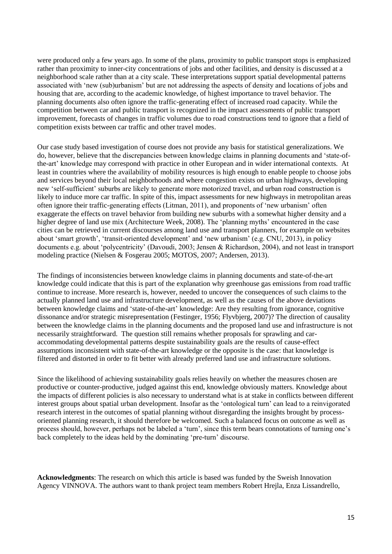were produced only a few years ago. In some of the plans, proximity to public transport stops is emphasized rather than proximity to inner-city concentrations of jobs and other facilities, and density is discussed at a neighborhood scale rather than at a city scale. These interpretations support spatial developmental patterns associated with 'new (sub)urbanism' but are not addressing the aspects of density and locations of jobs and housing that are, according to the academic knowledge, of highest importance to travel behavior. The planning documents also often ignore the traffic-generating effect of increased road capacity. While the competition between car and public transport is recognized in the impact assessments of public transport improvement, forecasts of changes in traffic volumes due to road constructions tend to ignore that a field of competition exists between car traffic and other travel modes.

Our case study based investigation of course does not provide any basis for statistical generalizations. We do, however, believe that the discrepancies between knowledge claims in planning documents and 'state-ofthe-art' knowledge may correspond with practice in other European and in wider international contexts. At least in countries where the availability of mobility resources is high enough to enable people to choose jobs and services beyond their local neighborhoods and where congestion exists on urban highways, developing new 'self-sufficient' suburbs are likely to generate more motorized travel, and urban road construction is likely to induce more car traffic. In spite of this, impact assessments for new highways in metropolitan areas often ignore their traffic-generating effects (Litman, 2011), and proponents of 'new urbanism' often exaggerate the effects on travel behavior from building new suburbs with a somewhat higher density and a higher degree of land use mix (Architecture Week, 2008). The 'planning myths' encountered in the case cities can be retrieved in current discourses among land use and transport planners, for example on websites about 'smart growth', 'transit-oriented development' and 'new urbanism' (e.g. CNU, 2013), in policy documents e.g. about 'polycentricity' (Davoudi, 2003; Jensen & Richardson, 2004), and not least in transport modeling practice (Nielsen & Fosgerau 2005; MOTOS, 2007; Andersen, 2013).

The findings of inconsistencies between knowledge claims in planning documents and state-of-the-art knowledge could indicate that this is part of the explanation why greenhouse gas emissions from road traffic continue to increase. More research is, however, needed to uncover the consequences of such claims to the actually planned land use and infrastructure development, as well as the causes of the above deviations between knowledge claims and 'state-of-the-art' knowledge: Are they resulting from ignorance, cognitive dissonance and/or strategic misrepresentation (Festinger, 1956; Flyvbjerg, 2007)? The direction of causality between the knowledge claims in the planning documents and the proposed land use and infrastructure is not necessarily straightforward. The question still remains whether proposals for sprawling and caraccommodating developmental patterns despite sustainability goals are the results of cause-effect assumptions inconsistent with state-of-the-art knowledge or the opposite is the case: that knowledge is filtered and distorted in order to fit better with already preferred land use and infrastructure solutions.

Since the likelihood of achieving sustainability goals relies heavily on whether the measures chosen are productive or counter-productive, judged against this end, knowledge obviously matters. Knowledge about the impacts of different policies is also necessary to understand what is at stake in conflicts between different interest groups about spatial urban development. Insofar as the 'ontological turn' can lead to a reinvigorated research interest in the outcomes of spatial planning without disregarding the insights brought by processoriented planning research, it should therefore be welcomed. Such a balanced focus on outcome as well as process should, however, perhaps not be labeled a 'turn', since this term bears connotations of turning one's back completely to the ideas held by the dominating 'pre-turn' discourse.

**Acknowledgments**: The research on which this article is based was funded by the Sweish Innovation Agency VINNOVA. The authors want to thank project team members Robert Hrejla, Enza Lissandrello,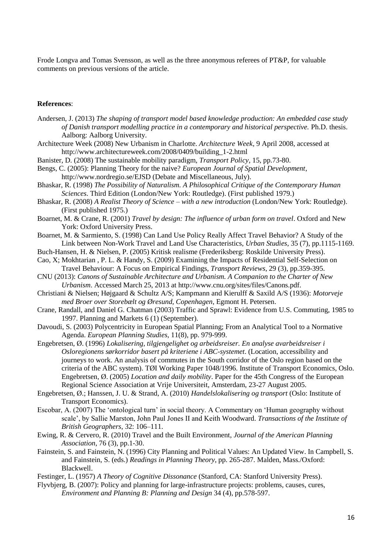Frode Longva and Tomas Svensson, as well as the three anonymous referees of PT&P, for valuable comments on previous versions of the article.

#### **References**:

- Andersen, J. (2013) *The shaping of transport model based knowledge production: An embedded case study of Danish transport modelling practice in a contemporary and historical perspective.* Ph.D. thesis. Aalborg: Aalborg University.
- Architecture Week (2008) New Urbanism in Charlotte. *Architecture Week*, 9 April 2008, accessed at http://www.architectureweek.com/2008/0409/building\_1-2.html
- Banister, D. (2008) The sustainable mobility paradigm*, Transport Policy*, 15, pp.73-80.
- Bengs, C. (2005): Planning Theory for the naive? *European Journal of Spatial Development*, http://www.nordregio.se/EJSD (Debate and Miscellaneous, July).
- Bhaskar, R. (1998) *The Possibility of Naturalism. A Philosophical Critique of the Contemporary Human Sciences*. Third Edition (London/New York: Routledge). (First published 1979.)
- Bhaskar, R. (2008) *A Realist Theory of Science – with a new introduction* (London/New York: Routledge). (First published 1975.)
- Boarnet, M. & Crane, R. (2001) *Travel by design: The influence of urban form on travel*. Oxford and New York: Oxford University Press.
- Boarnet, M. & Sarmiento, S. (1998) Can Land Use Policy Really Affect Travel Behavior? A Study of the Link between Non-Work Travel and Land Use Characteristics, *Urban Studies*, 35 (7), pp.1115-1169.
- Buch-Hansen, H. & Nielsen, P. (2005) Kritisk realisme (Frederiksberg: Roskilde University Press).
- Cao, X; Mokhtarian , P. L. & Handy, S. (2009) Examining the Impacts of Residential Self-Selection on Travel Behaviour: A Focus on Empirical Findings, *Transport Reviews*, 29 (3), pp.359-395.
- CNU (2013): *Canons of Sustainable Architecture and Urbanism. A Companion to the Charter of New Urbanism*. Accessed March 25, 2013 at http://www.cnu.org/sites/files/Canons.pdf.
- Christiani & Nielsen; Højgaard & Schultz A/S; Kampmann and Kierulff & Saxild A/S (1936): *Motorveje med Broer over Storebælt og Øresund, Copenhagen*, Egmont H. Petersen.
- Crane, Randall, and Daniel G. Chatman (2003) Traffic and Sprawl: Evidence from U.S. Commuting, 1985 to 1997. Planning and Markets 6 (1) (September).
- Davoudi, S. (2003) Polycentricity in European Spatial Planning; From an Analytical Tool to a Normative Agenda. *European Planning Studies*, 11(8), pp. 979-999.
- Engebretsen, Ø. (1996) *Lokalisering, tilgjengelighet og arbeidsreiser. En analyse avarbeidsreiser i Osloregionens sørkorridor basert på kriteriene i ABC-systemet*. (Location, accessibility and journeys to work. An analysis of commutes in the South corridor of the Oslo region based on the criteria of the ABC system). TØI Working Paper 1048/1996. Institute of Transport Economics, Oslo. Engebretsen, Ø. (2005) *Location and daily mobility*. Paper for the 45th Congress of the European Regional Science Association at Vrije Universiteit, Amsterdam, 23-27 August 2005.
- Engebretsen, Ø.; Hanssen, J. U. & Strand, A. (2010) *Handelslokalisering og transport* (Oslo: Institute of Transport Economics).
- Escobar, A. (2007) The 'ontological turn' in social theory. A Commentary on 'Human geography without scale', by Sallie Marston, John Paul Jones II and Keith Woodward. *Transactions of the Institute of British Geographers*, 32: 106–111.
- Ewing, R. & Cervero, R. (2010) Travel and the Built Environment, *Journal of the American Planning Association*, 76 (3), pp.1-30.
- Fainstein, S. and Fainstein, N. (1996) City Planning and Political Values: An Updated View. In Campbell, S. and Fainstein, S. (eds.) *Readings in Planning Theory*, pp. 265-287. Malden, Mass./Oxford: Blackwell.

Festinger, L. (1957) *A Theory of Cognitive Dissonance* (Stanford, CA: Stanford University Press).

Flyvbjerg, B. (2007): Policy and planning for large-infrastructure projects: problems, causes, cures, *Environment and Planning B: Planning and Design* 34 (4), pp.578-597.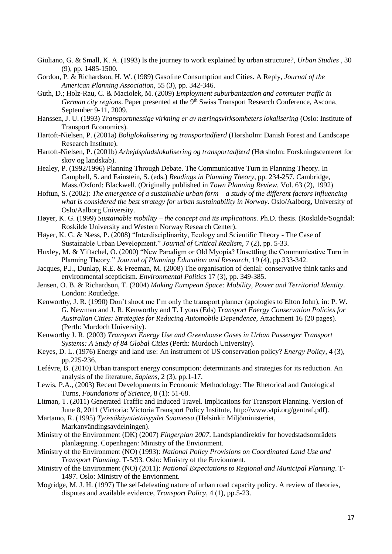- Giuliano, G. & Small, K. A. (1993) Is the journey to work explained by urban structure?, *Urban Studies* , 30 (9), pp. 1485-1500.
- Gordon, P. & Richardson, H. W. (1989) Gasoline Consumption and Cities. A Reply, *Journal of the American Planning Association*, 55 (3), pp. 342-346.
- Guth, D.; Holz-Rau, C. & Maciolek, M. (2009) *Employment suburbanization and commuter traffic in German city regions.* Paper presented at the 9<sup>th</sup> Swiss Transport Research Conference, Ascona, September 9-11, 2009.
- Hanssen, J. U. (1993) *Transportmessige virkning er av næringsvirksomheters lokalisering* (Oslo: Institute of Transport Economics).
- Hartoft-Nielsen, P. (2001a) *Boliglokalisering og transportadfærd* (Hørsholm: Danish Forest and Landscape Research Institute).
- Hartoft-Nielsen, P. (2001b) *Arbejdspladslokalisering og transportadfærd* (Hørsholm: Forskningscenteret for skov og landskab).
- Healey, P. (1992/1996) Planning Through Debate. The Communicative Turn in Planning Theory. In Campbell, S. and Fainstein, S. (eds.) *Readings in Planning Theory*, pp. 234-257. Cambridge, Mass./Oxford: Blackwell. (Originally published in *Town Planning Review*, Vol. 63 (2), 1992)
- Hoftun, S. (2002): *The emergence of a sustainable urban form – a study of the different factors influencing what is considered the best strategy for urban sustainability in Norway*. Oslo/Aalborg, University of Oslo/Aalborg University.
- Høyer, K. G. (1999) *Sustainable mobility – the concept and its implications.* Ph.D. thesis. (Roskilde/Sogndal: Roskilde University and Western Norway Research Center).
- Høyer, K. G. & Næss, P. (2008) "Interdisciplinarity, Ecology and Scientific Theory The Case of Sustainable Urban Development." *Journal of Critical Realism*, 7 (2), pp. 5-33.
- Huxley, M. & Yiftachel, O. (2000) "New Paradigm or Old Myopia? Unsettling the Communicative Turn in Planning Theory." *Journal of Planning Education and Research*, 19 (4), pp.333-342.
- Jacques, P.J., Dunlap, R.E. & Freeman, M. (2008) The organisation of denial: conservative think tanks and environmental scepticism. *Environmental Politics* 17 (3), pp. 349-385.
- Jensen, O. B. & Richardson, T. (2004) *Making European Space: Mobility, Power and Territorial Identity*. London: Routledge.
- Kenworthy, J. R. (1990) Don't shoot me I'm only the transport planner (apologies to Elton John), in: P. W. G. Newman and J. R. Kenworthy and T. Lyons (Eds) *Transport Energy Conservation Policies for Australian Cities: Strategies for Reducing Automobile Dependence*, Attachment 16 (20 pages). (Perth: Murdoch University).
- Kenworthy J. R. (2003) *Transport Energy Use and Greenhouse Gases in Urban Passenger Transport Systems: A Study of 84 Global Cities* (Perth: Murdoch University).
- Keyes, D. L. (1976) Energy and land use: An instrument of US conservation policy? *Energy Policy*, 4 (3), pp.225-236.
- Lefévre, B. (2010) Urban transport energy consumption: determinants and strategies for its reduction. An analysis of the literature, *Sapiens*, 2 (3), pp.1-17.
- Lewis, P.A., (2003) Recent Developments in Economic Methodology: The Rhetorical and Ontological Turns, *Foundations of Science*, 8 (1): 51-68.
- Litman, T. (2011) Generated Traffic and Induced Travel. Implications for Transport Planning. Version of June 8, 2011 (Victoria: Victoria Transport Policy Institute, http://www.vtpi.org/gentraf.pdf).
- Martamo, R. (1995) *Työssäkäyntietäisyydet Suomessa* (Helsinki: Miljöministeriet, Markanvändingsavdelningen).
- Ministry of the Environment (DK) (2007) *Fingerplan 2007*. Landsplandirektiv for hovedstadsområdets planlægning. Copenhagen: Ministry of the Envionment.
- Ministry of the Environment (NO) (1993): *National Policy Provisions on Coordinated Land Use and Transport Planning*. T-5/93. Oslo: Ministry of the Envionment.
- Ministry of the Environment (NO) (2011): *National Expectations to Regional and Municipal Planning*. T-1497. Oslo: Ministry of the Envionment.
- Mogridge, M. J. H. (1997) The self-defeating nature of urban road capacity policy. A review of theories, disputes and available evidence, *Transport Policy*, 4 (1), pp.5-23.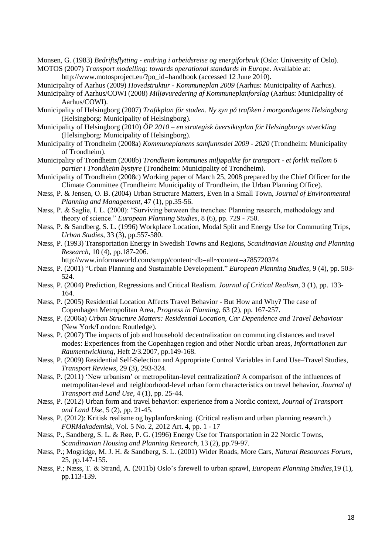Monsen, G. (1983) *Bedriftsflytting - endring i arbeidsreise og energiforbruk* (Oslo: University of Oslo). MOTOS (2007) *Transport modelling: towards operational standards in Europe*. Available at:

http://www.motosproject.eu/?po\_id=handbook (accessed 12 June 2010).

- Municipality of Aarhus (2009) *Hovedstruktur - Kommuneplan 2009* (Aarhus: Municipality of Aarhus).
- Municipality of Aarhus/COWI (2008) *Miljøvuredering af Kommuneplanforslag* (Aarhus: Municipality of Aarhus/COWI).

Municipality of Helsingborg (2007) *Trafikplan för staden. Ny syn på trafiken i morgondagens Helsingborg* (Helsingborg: Municipality of Helsingborg).

- Municipality of Helsingborg (2010) *ÖP 2010 – en strategisk översiktsplan för Helsingborgs utveckling* (Helsingborg: Municipality of Helsingborg).
- Municipality of Trondheim (2008a) *Kommuneplanens samfunnsdel 2009 - 2020* (Trondheim: Municipality of Trondheim).

Municipality of Trondheim (2008b) *Trondheim kommunes miljøpakke for transport - et forlik mellom 6 partier i Trondheim bystyre* (Trondheim: Municipality of Trondheim).

- Municipality of Trondheim (2008c) Working paper of March 25, 2008 prepared by the Chief Officer for the Climate Committee (Trondheim: Municipality of Trondheim, the Urban Planning Office).
- Næss, P. & Jensen, O. B. (2004) Urban Structure Matters, Even in a Small Town, *Journal of Environmental Planning and Management*, 47 (1), pp.35-56.
- Næss, P. & Saglie, I. L. (2000): "Surviving between the trenches: Planning research, methodology and theory of science." *European Planning Studies*, 8 (6), pp. 729 - 750.
- Næss, P. & Sandberg, S. L. (1996) Workplace Location, Modal Split and Energy Use for Commuting Trips, *Urban Studies*, 33 (3), pp.557-580.
- Næss, P. (1993) Transportation Energy in Swedish Towns and Regions, *Scandinavian Housing and Planning Research*, 10 (4), pp.187-206.

http://www.informaworld.com/smpp/content~db=all~content=a785720374

- Næss, P. (2001) "Urban Planning and Sustainable Development." *European Planning Studies*, 9 (4), pp. 503- 524.
- Næss, P. (2004) Prediction, Regressions and Critical Realism. *Journal of Critical Realism*, 3 (1), pp. 133- 164.
- Næss, P. (2005) Residential Location Affects Travel Behavior But How and Why? The case of Copenhagen Metropolitan Area, *Progress in Planning*, 63 (2), pp. 167-257.
- Næss, P. (2006a) *Urban Structure Matters: Residential Location, Car Dependence and Travel Behaviour* (New York/London: Routledge).
- Næss, P. (2007) The impacts of job and household decentralization on commuting distances and travel modes: Experiences from the Copenhagen region and other Nordic urban areas, *Informationen zur Raumentwicklung*, Heft 2/3.2007, pp.149-168.
- Næss, P. (2009) Residential Self-Selection and Appropriate Control Variables in Land Use–Travel Studies, *Transport Reviews*, 29 (3), 293-324.
- Næss, P. (2011) 'New urbanism' or metropolitan-level centralization? A comparison of the influences of metropolitan-level and neighborhood-level urban form characteristics on travel behavior, *Journal of Transport and Land Use*, 4 (1), pp. 25-44.
- Næss, P. (2012) Urban form and travel behavior: experience from a Nordic context, *Journal of Transport and Land Use*, 5 (2), pp. 21-45.
- Næss, P. (2012): Kritisk realisme og byplanforskning. (Critical realism and urban planning research.) *FORMakademisk*, Vol. 5 No. 2, 2012 Art. 4, pp. 1 - 17
- Næss, P., Sandberg, S. L. & Røe, P. G. (1996) Energy Use for Transportation in 22 Nordic Towns, *Scandinavian Housing and Planning Research*, 13 (2), pp.79-97.
- Næss, P.; Mogridge, M. J. H. & Sandberg, S. L. (2001) Wider Roads, More Cars, *Natural Resources Forum*, 25, pp.147-155.
- Næss, P.; Næss, T. & Strand, A. (2011b) Oslo's farewell to urban sprawl, *European Planning Studies*,19 (1), pp.113-139.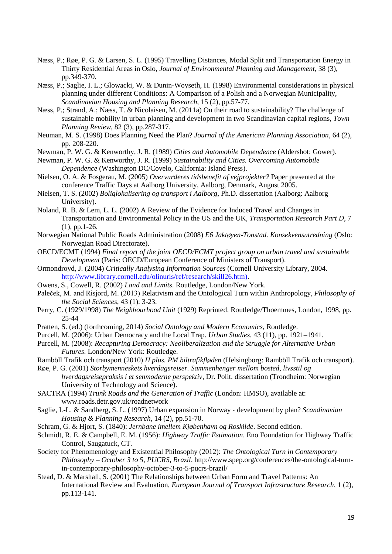- Næss, P.; Røe, P. G. & Larsen, S. L. (1995) Travelling Distances, Modal Split and Transportation Energy in Thirty Residential Areas in Oslo, *Journal of Environmental Planning and Management*, 38 (3), pp.349-370.
- Næss, P.; Saglie, I. L.; Glowacki, W. & Dunin-Woyseth, H. (1998) Environmental considerations in physical planning under different Conditions: A Comparison of a Polish and a Norwegian Municipality, *Scandinavian Housing and Planning Research*, 15 (2), pp.57-77.
- Næss, P.; Strand, A.; Næss, T. & Nicolaisen, M. (2011a) On their road to sustainability? The challenge of sustainable mobility in urban planning and development in two Scandinavian capital regions, *Town Planning Review*, 82 (3), pp.287-317.
- Neuman, M. S. (1998) Does Planning Need the Plan? *Journal of the American Planning Association*, 64 (2), pp. 208-220.
- Newman, P. W. G. & Kenworthy, J. R. (1989) *Cities and Automobile Dependence* (Aldershot: Gower).
- Newman, P. W. G. & Kenworthy, J. R. (1999) *Sustainability and Cities. Overcoming Automobile Dependence* (Washington DC/Covelo, California: Island Press).
- Nielsen, O. A. & Fosgerau, M. (2005) *Overvurderes tidsbenefit af vejprojekter?* Paper presented at the conference Traffic Days at Aalborg University, Aalborg, Denmark, August 2005.
- Nielsen, T. S. (2002) *Boliglokalisering og transport i Aalborg*, Ph.D. dissertation (Aalborg: Aalborg University).
- Noland, R. B. & Lem, L. L. (2002) A Review of the Evidence for Induced Travel and Changes in Transportation and Environmental Policy in the US and the UK, *Transportation Research Part D*, 7 (1), pp.1-26.
- Norwegian National Public Roads Administration (2008) *E6 Jaktøyen-Tonstad. Konsekvensutredning* (Oslo: Norwegian Road Directorate).
- OECD/ECMT (1994) *Final report of the joint OECD/ECMT project group on urban travel and sustainable Development* (Paris: OECD/European Conference of Ministers of Transport).
- Ormondroyd, J. (2004) *Critically Analysing Information Sources* (Cornell University Library, 2004. [http://www.library.cornell.edu/olinuris/ref/research/skill26.htm\)](http://www.library.cornell.edu/olinuris/ref/research/skill26.htm).
- Owens, S., Cowell, R. (2002) *Land and Limits*. Routledge, London/New York.
- Paleček, M. and Risjord, M. (2013) Relativism and the Ontological Turn within Anthropology, *Philosophy of the Social Sciences*, 43 (1): 3-23.
- Perry, C. (1929/1998) *The Neighbourhood Unit* (1929) Reprinted. Routledge/Thoemmes, London, 1998, pp. 25-44
- Pratten, S. (ed.) (forthcoming, 2014) *Social Ontology and Modern Economics*, Routledge.
- Purcell, M. (2006): Urban Democracy and the Local Trap. *Urban Studies*, 43 (11), pp. 1921–1941.
- Purcell, M. (2008): *Recapturing Democracy: Neoliberalization and the Struggle for Alternative Urban Futures*. London/New York: Routledge.
- Ramböll Trafik och transport (2010) *H plus. PM biltrafikfløden* (Helsingborg: Ramböll Trafik och transport).
- Røe, P. G. (2001) *Storbymenneskets hverdagsreiser. Sammenhenger mellom bosted, livsstil og hverdagsreisepraksis i et senmoderne perspektiv*, Dr. Polit. dissertation (Trondheim: Norwegian University of Technology and Science).
- SACTRA (1994) *Trunk Roads and the Generation of Traffic* (London: HMSO), available at: www.roads.detr.gov.uk/roadnetwork
- Saglie, I.-L. & Sandberg, S. L. (1997) Urban expansion in Norway ‐ development by plan? *Scandinavian Housing & Planning Research*, 14 (2), pp.51-70.
- Schram, G. & Hjort, S. (1840): *Jernbane imellem Kjøbenhavn og Roskilde*. Second edition.
- Schmidt, R. E. & Campbell, E. M. (1956): *Highway Traffic Estimation*. Eno Foundation for Highway Traffic Control, Saugatuck, CT.
- Society for Phenomenology and Existential Philosophy (2012): *The Ontological Turn in Contemporary Philosophy – October 3 to 5, PUCRS, Brazil*. http://www.spep.org/conferences/the-ontological-turnin-contemporary-philosophy-october-3-to-5-pucrs-brazil/
- Stead, D. & Marshall, S. (2001) The Relationships between Urban Form and Travel Patterns: An International Review and Evaluation, *European Journal of Transport Infrastructure Research*, 1 (2), pp.113-141.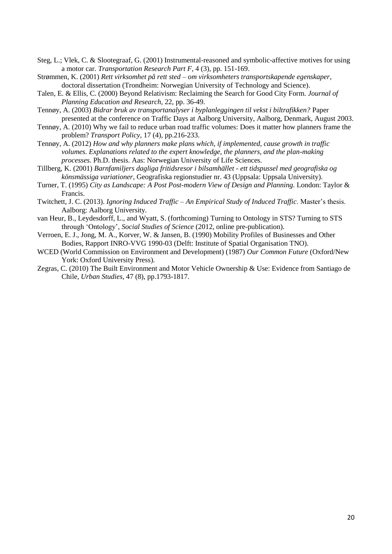- Steg, L.; Vlek, C. & Slootegraaf, G. (2001) Instrumental-reasoned and symbolic-affective motives for using a motor car. *Transportation Research Part F*, 4 (3), pp. 151-169.
- Strømmen, K. (2001) *Rett virksomhet på rett sted – om virksomheters transportskapende egenskaper*, doctoral dissertation (Trondheim: Norwegian University of Technology and Science).
- Talen, E. & Ellis, C. (2000) Beyond Relativism: Reclaiming the Search for Good City Form. *Journal of Planning Education and Research*, 22, pp. 36-49.
- Tennøy, A. (2003) *Bidrar bruk av transportanalyser i byplanleggingen til vekst i biltrafikken?* Paper presented at the conference on Traffic Days at Aalborg University, Aalborg, Denmark, August 2003.
- Tennøy, A. (2010) Why we fail to reduce urban road traffic volumes: Does it matter how planners frame the problem? *Transport Policy*, 17 (4), pp.216-233.
- Tennøy, A. (2012) *How and why planners make plans which, if implemented, cause growth in traffic volumes. Explanations related to the expert knowledge, the planners, and the plan-making processes.* Ph.D. thesis. Aas: Norwegian University of Life Sciences.
- Tillberg, K. (2001) *Barnfamiljers dagliga fritidsresor i bilsamhället - ett tidspussel med geografiska og könsmässiga variationer*, Geografiska regionstudier nr. 43 (Uppsala: Uppsala University).
- Turner, T. (1995) *City as Landscape: A Post Post-modern View of Design and Planning.* London: Taylor & Francis.
- Twitchett, J. C. (2013). *Ignoring Induced Traffic – An Empirical Study of Induced Traffic*. Master's thesis. Aalborg: Aalborg University.
- van Heur, B., Leydesdorff, L., and Wyatt, S. (forthcoming) Turning to Ontology in STS? Turning to STS through 'Ontology', *Social Studies of Science* (2012, online pre-publication).
- Verroen, E. J., Jong, M. A., Korver, W. & Jansen, B. (1990) Mobility Profiles of Businesses and Other Bodies, Rapport INRO-VVG 1990-03 (Delft: Institute of Spatial Organisation TNO).
- WCED (World Commission on Environment and Development) (1987) *Our Common Future* (Oxford/New York: Oxford University Press).
- Zegras, C. (2010) The Built Environment and Motor Vehicle Ownership & Use: Evidence from Santiago de Chile, *Urban Studies*, 47 (8), pp.1793-1817.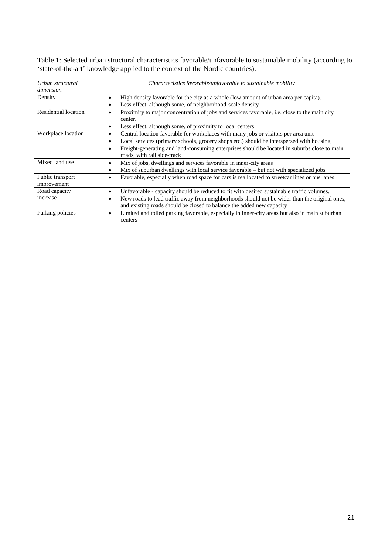Table 1: Selected urban structural characteristics favorable/unfavorable to sustainable mobility (according to 'state-of-the-art' knowledge applied to the context of the Nordic countries).

| Urban structural<br>dimension   | Characteristics favorable/unfavorable to sustainable mobility                                                                                                                                                                                                                                                      |  |  |
|---------------------------------|--------------------------------------------------------------------------------------------------------------------------------------------------------------------------------------------------------------------------------------------------------------------------------------------------------------------|--|--|
| Density                         | High density favorable for the city as a whole (low amount of urban area per capita).<br>Less effect, although some, of neighborhood-scale density                                                                                                                                                                 |  |  |
| Residential location            | Proximity to major concentration of jobs and services favorable, <i>i.e.</i> close to the main city<br>center.<br>Less effect, although some, of proximity to local centers                                                                                                                                        |  |  |
| Workplace location              | Central location favorable for workplaces with many jobs or visitors per area unit<br>Local services (primary schools, grocery shops etc.) should be interspersed with housing<br>Freight-generating and land-consuming enterprises should be located in suburbs close to main<br>٠<br>roads, with rail side-track |  |  |
| Mixed land use                  | Mix of jobs, dwellings and services favorable in inner-city areas<br>Mix of suburban dwellings with local service favorable – but not with specialized jobs                                                                                                                                                        |  |  |
| Public transport<br>improvement | Favorable, especially when road space for cars is reallocated to streetcar lines or bus lanes                                                                                                                                                                                                                      |  |  |
| Road capacity<br>increase       | Unfavorable - capacity should be reduced to fit with desired sustainable traffic volumes.<br>New roads to lead traffic away from neighborhoods should not be wider than the original ones,<br>٠<br>and existing roads should be closed to balance the added new capacity                                           |  |  |
| Parking policies                | Limited and tolled parking favorable, especially in inner-city areas but also in main suburban<br>centers                                                                                                                                                                                                          |  |  |